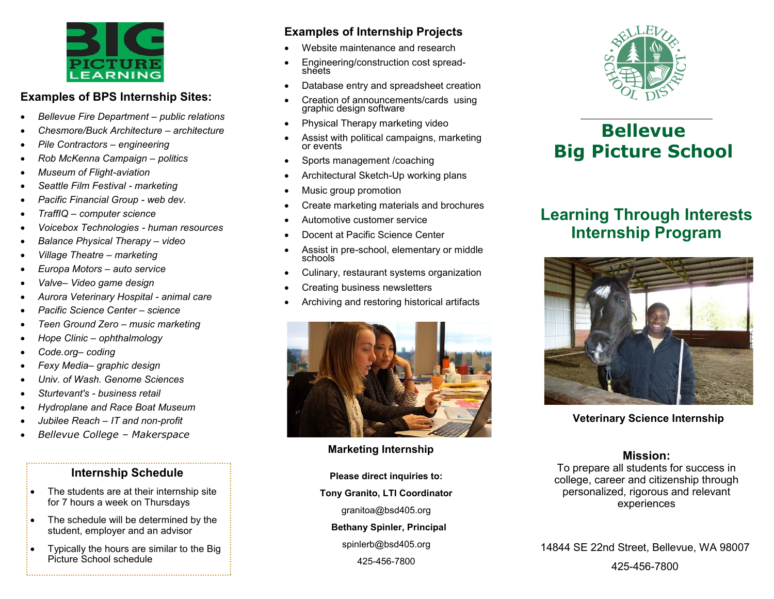# EARNING

## **Examples of BPS Internship Sites:**

- *Bellevue Fire Department – public relations*
- *Chesmore/Buck Architecture – architecture*
- *Pile Contractors – engineering*
- *Rob McKenna Campaign – politics*
- *Museum of Flight-aviation*
- *Seattle Film Festival - marketing*
- *Pacific Financial Group - web dev.*
- *TraffIQ – computer science*
- *Voicebox Technologies - human resources*
- *Balance Physical Therapy – video*
- *Village Theatre – marketing*
- *Europa Motors – auto service*
- *Valve– Video game design*
- *Aurora Veterinary Hospital - animal care*
- *Pacific Science Center – science*
- *Teen Ground Zero – music marketing*
- *Hope Clinic – ophthalmology*
- *Code.org– coding*
- *Fexy Media– graphic design*
- *Univ. of Wash. Genome Sciences*
- *Sturtevant's - business retail*
- *Hydroplane and Race Boat Museum*
- *Jubilee Reach – IT and non-profit*
- *Bellevue College – Makerspace*

## **Internship Schedule**

- The students are at their internship site for 7 hours a week on Thursdays
- The schedule will be determined by the student, employer and an advisor
- Typically the hours are similar to the Big Picture School schedule

# **Examples of Internship Projects**

- Website maintenance and research
- Engineering/construction cost spreadsheets
- Database entry and spreadsheet creation
- Creation of announcements/cards using graphic design software
- Physical Therapy marketing video
- Assist with political campaigns, marketing or events
- Sports management /coaching
- Architectural Sketch-Up working plans
- Music group promotion
- Create marketing materials and brochures
- Automotive customer service
- Docent at Pacific Science Center
- Assist in pre-school, elementary or middle schools
- Culinary, restaurant systems organization
- Creating business newsletters
- Archiving and restoring historical artifacts



## **Marketing Internship**

**Please direct inquiries to: Tony Granito, LTI Coordinator** granitoa@bsd405.org  **Bethany Spinler, Principal** spinlerb@bsd405.org 425-456-7800



# **Bellevue Big Picture School**

# **Learning Through Interests Internship Program**



## **Veterinary Science Internship**

## **Mission:**

To prepare all students for success in college, career and citizenship through personalized, rigorous and relevant experiences

14844 SE 22nd Street, Bellevue, WA 98007 425-456-7800